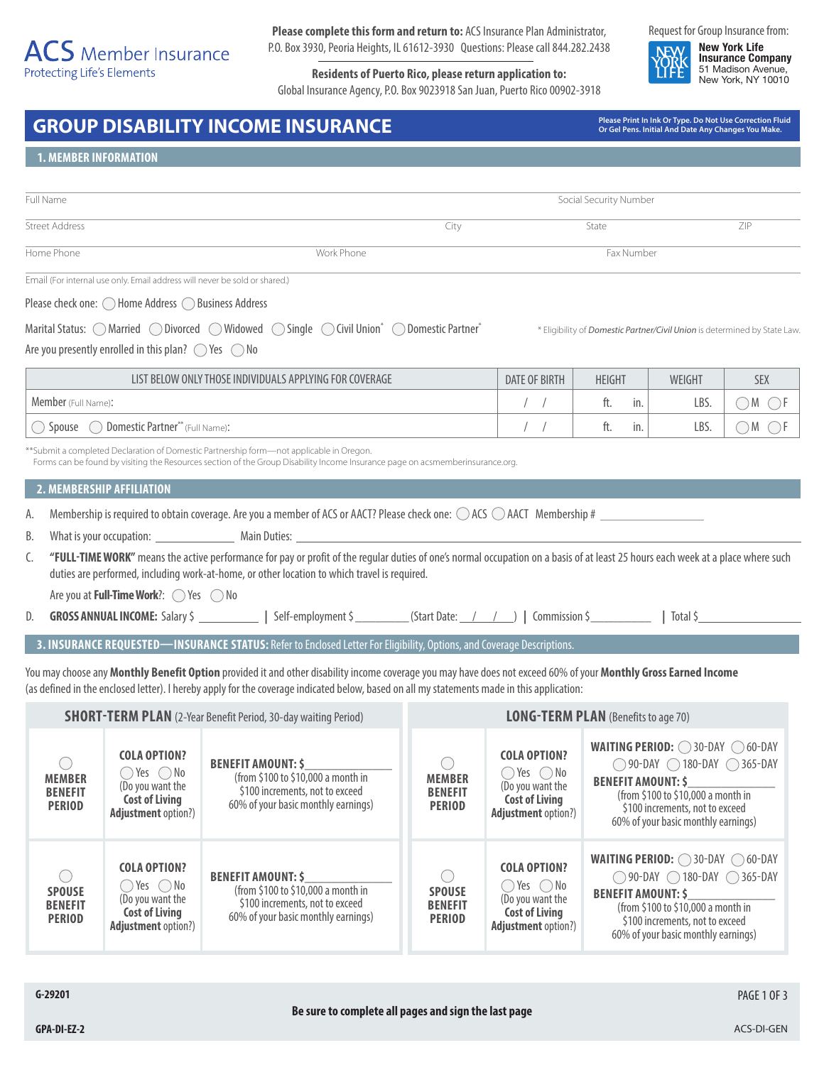# $\overline{ACS}$  Member Insurance Protecting Life's Elements

**Please complete this form and return to:** ACS Insurance Plan Administrator, P.O. Box 3930, Peoria Heights, IL 61612-3930 Questions: Please call 844.282.2438

**Residents of Puerto Rico, please return application to:** Global Insurance Agency, P.O. Box 9023918 San Juan, Puerto Rico 00902-3918 Request for Group Insurance from:

**New York Life Insurance Company** 51 Madison Avenue, New York, NY 10010

# GROUP DISABILITY INCOME INSURANCE **Interpretation of the correction Fluid** Correction Fluid **Correction Fluid**

**Or Gel Pens. Initial And Date Any Changes You Make.**

# **1. MEMBER INFORMATION**

| Full Name                                                                                  |            | Social Security Number |                                                                           |     |  |
|--------------------------------------------------------------------------------------------|------------|------------------------|---------------------------------------------------------------------------|-----|--|
| <b>Street Address</b>                                                                      |            | City                   | State                                                                     | ZIP |  |
| Home Phone                                                                                 | Work Phone |                        | Fax Number                                                                |     |  |
| Email (For internal use only. Email address will never be sold or shared.)                 |            |                        |                                                                           |     |  |
| Please check one: ◯ Home Address ◯ Business Address                                        |            |                        |                                                                           |     |  |
| Marital Status: O Married O Divorced O Widowed O Single O Civil Union* O Domestic Partner* |            |                        | * Eligibility of Domestic Partner/Civil Union is determined by State Law. |     |  |

Are you presently enrolled in this plan?  $\bigcirc$  Yes  $\bigcirc$  No

| LIST BELOW ONLY THOSE INDIVIDUALS APPLYING FOR COVERAGE | <b>DATE OF BIRTH</b> | <b>HEIGHT</b> | WEIGHT | SEX |
|---------------------------------------------------------|----------------------|---------------|--------|-----|
| <b>Member</b> (Full Name):                              |                      | ιι.           | LBS.   | M   |
| Domestic Partner** (Full Name):<br>Spouse               |                      | ៲ ເ.          | LBS.   | M   |

\*\*Submit a completed Declaration of Domestic Partnership form—not applicable in Oregon.

Forms can be found by visiting the Resources section of the Group Disability Income Insurance page on acsmemberinsurance.org.

### **2. MEMBERSHIP AFFILIATION**

A. Membership is required to obtain coverage. Are you a member of ACS or AACT? Please check one:  $\bigcirc$  ACS  $\bigcirc$  AACT Membership #

B. What is your occupation: Main Duties:

C. **"FULL-TIME WORK"** means the active performance for pay or profit of the regular duties of one's normal occupation on a basis of at least 25 hours each week at a place where such duties are performed, including work-at-home, or other location to which travel is required.

Are you at **Full-Time Work**?:  $\bigcirc$  Yes  $\bigcirc$  No

D. **GROSS ANNUAL INCOME:** Salary \$ **|** Self-employment \$ (Start Date: / / ) | Commission \$ | Total \$

# **3. INSURANCE REQUESTED—INSURANCE STATUS:** Refer to Enclosed Letter For Eligibility, Options, and Coverage Descriptions.

You may choose any **Monthly Benefit Option** provided it and other disability income coverage you may have does not exceed 60% of your **Monthly Gross Earned Income** (as defined in the enclosed letter). I hereby apply for the coverage indicated below, based on all my statements made in this application:

| <b>SHORT-TERM PLAN</b> (2-Year Benefit Period, 30-day waiting Period) |                                                                                                                                | <b>LONG-TERM PLAN</b> (Benefits to age 70)                                                                                                |                                                  |                                                                                                                                |                                                                                                                                                                                                                                         |
|-----------------------------------------------------------------------|--------------------------------------------------------------------------------------------------------------------------------|-------------------------------------------------------------------------------------------------------------------------------------------|--------------------------------------------------|--------------------------------------------------------------------------------------------------------------------------------|-----------------------------------------------------------------------------------------------------------------------------------------------------------------------------------------------------------------------------------------|
| <b>MEMBER</b><br><b>BENEFIT</b><br><b>PERIOD</b>                      | <b>COLA OPTION?</b><br>$\bigcirc$ Yes $\bigcirc$ No<br>(Do you want the<br><b>Cost of Living</b><br><b>Adjustment option?)</b> | <b>BENEFIT AMOUNT: \$</b><br>(from \$100 to \$10,000 a month in<br>\$100 increments, not to exceed<br>60% of your basic monthly earnings) | <b>MEMBER</b><br><b>BENEFIT</b><br><b>PERIOD</b> | <b>COLA OPTION?</b><br>$\bigcirc$ Yes $\bigcirc$ No<br>(Do you want the<br><b>Cost of Living</b><br><b>Adjustment option?)</b> | <b>WAITING PERIOD:</b> $\bigcirc$ 30-DAY $\bigcirc$ 60-DAY<br>◯ 90-DAY ◯ 180-DAY ◯ 365-DAY<br><b>BENEFIT AMOUNT: \$</b><br>(from \$100 to \$10,000 a month in<br>\$100 increments, not to exceed<br>60% of your basic monthly earnings) |
| <b>SPOUSE</b><br><b>BENEFIT</b><br><b>PERIOD</b>                      | <b>COLA OPTION?</b><br>$\bigcirc$ Yes $\bigcirc$ No<br>(Do you want the<br><b>Cost of Living</b><br><b>Adjustment option?)</b> | <b>BENEFIT AMOUNT: \$</b><br>(from \$100 to \$10,000 a month in<br>\$100 increments, not to exceed<br>60% of your basic monthly earnings) | <b>SPOUSE</b><br><b>BENEFIT</b><br><b>PERIOD</b> | <b>COLA OPTION?</b><br>$\bigcirc$ Yes $\bigcirc$ No<br>(Do you want the<br><b>Cost of Living</b><br><b>Adjustment option?)</b> | <b>WAITING PERIOD: 30-DAY 060-DAY</b><br>◯ 90-DAY ◯ 180-DAY ◯ 365-DAY<br><b>BENEFIT AMOUNT: \$</b><br>(from \$100 to \$10,000 a month in<br>\$100 increments, not to exceed<br>60% of your basic monthly earnings)                      |

PAGE 1 OF 3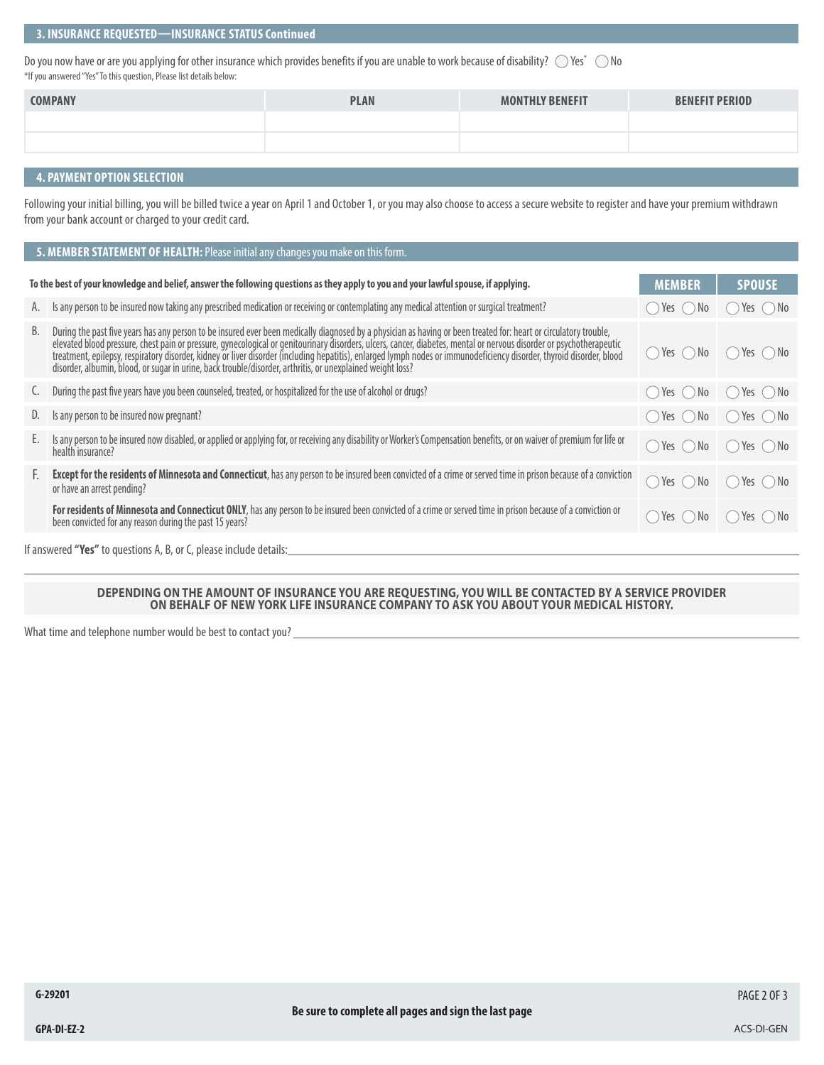# **3. INSURANCE REQUESTED—INSURANCE STATUS Continued**

Do you now have or are you applying for other insurance which provides benefits if you are unable to work because of disability?  $\:\circ$  Yes $^*$   $\:\circ$  No \*If you answered "Yes" To this question, Please list details below:

| <b>COMPANY</b> | <b>PLAN</b> | <b>MONTHLY BENEFIT</b> | <b>BENEFIT PERIOD</b> |
|----------------|-------------|------------------------|-----------------------|
|                |             |                        |                       |
|                |             |                        |                       |
|                |             |                        |                       |

## **4. PAYMENT OPTION SELECTION**

Following your initial billing, you will be billed twice a year on April 1 and October 1, or you may also choose to access a secure website to register and have your premium withdrawn from your bank account or charged to your credit card.

| 5. MEMBER STATEMENT OF HEALTH: Please initial any changes you make on this form. |                                                                                                                                                                                                                                                                                                                                                                                                        |                   |                                                           |  |  |  |
|----------------------------------------------------------------------------------|--------------------------------------------------------------------------------------------------------------------------------------------------------------------------------------------------------------------------------------------------------------------------------------------------------------------------------------------------------------------------------------------------------|-------------------|-----------------------------------------------------------|--|--|--|
|                                                                                  | To the best of your knowledge and belief, answer the following questions as they apply to you and your lawful spouse, if applying.                                                                                                                                                                                                                                                                     | <b>MEMBER</b>     | <b>SPOUSE</b>                                             |  |  |  |
|                                                                                  |                                                                                                                                                                                                                                                                                                                                                                                                        |                   |                                                           |  |  |  |
| А.                                                                               | Is any person to be insured now taking any prescribed medication or receiving or contemplating any medical attention or surgical treatment?                                                                                                                                                                                                                                                            | ↑ Yes ∧ No        | Yes $()$ No                                               |  |  |  |
| В.                                                                               | During the past five years has any person to be insured ever been medically diagnosed by a physician as having or been treated for: heart or circulatory trouble,<br>betward blood pressure, chest pain or pressure, gynecological or genitourinary disorders, ulcers, cancer, diabetes, mental or nervous disorder or psychotherapeutic<br>treatment, epilepsy, respiratory disorder, kidney or liver | () Yes () No      | $Yes \cap No$                                             |  |  |  |
| <sup>.</sup>                                                                     | During the past five years have you been counseled, treated, or hospitalized for the use of alcohol or drugs?                                                                                                                                                                                                                                                                                          | () Yes () No      | Yes ( ) No<br>$\sqrt{2}$                                  |  |  |  |
| D.                                                                               | Is any person to be insured now pregnant?                                                                                                                                                                                                                                                                                                                                                              | () Yes () No      | $( )$ Yes $( )$ No                                        |  |  |  |
| Е.                                                                               | Is any person to be insured now disabled, or applied or applying for, or receiving any disability or Worker's Compensation benefits, or on waiver of premium for life or<br>health insurance?                                                                                                                                                                                                          | () Yes () No      | Yes ( ) No<br>$\left(\begin{array}{c} \end{array}\right)$ |  |  |  |
| E.                                                                               | Except for the residents of Minnesota and Connecticut, has any person to be insured been convicted of a crime or served time in prison because of a conviction<br>or have an arrest pending?                                                                                                                                                                                                           | Yes $\bigcirc$ No | $Yes \cap No$<br>$\sqrt{2}$                               |  |  |  |
|                                                                                  | For residents of Minnesota and Connecticut ONLY, has any person to be insured been convicted of a crime or served time in prison because of a conviction or<br>been convicted for any reason during the past 15 years?                                                                                                                                                                                 |                   | () Yes () No () Yes () No                                 |  |  |  |
|                                                                                  | If answered "Yes" to questions A, B, or C, please include details:                                                                                                                                                                                                                                                                                                                                     |                   |                                                           |  |  |  |

#### **DEPENDING ON THE AMOUNT OF INSURANCE YOU ARE REQUESTING, YOU WILL BE CONTACTED BY A SERVICE PROVIDER ON BEHALF OF NEW YORK LIFE INSURANCE COMPANY TO ASK YOU ABOUT YOUR MEDICAL HISTORY.**

What time and telephone number would be best to contact you?